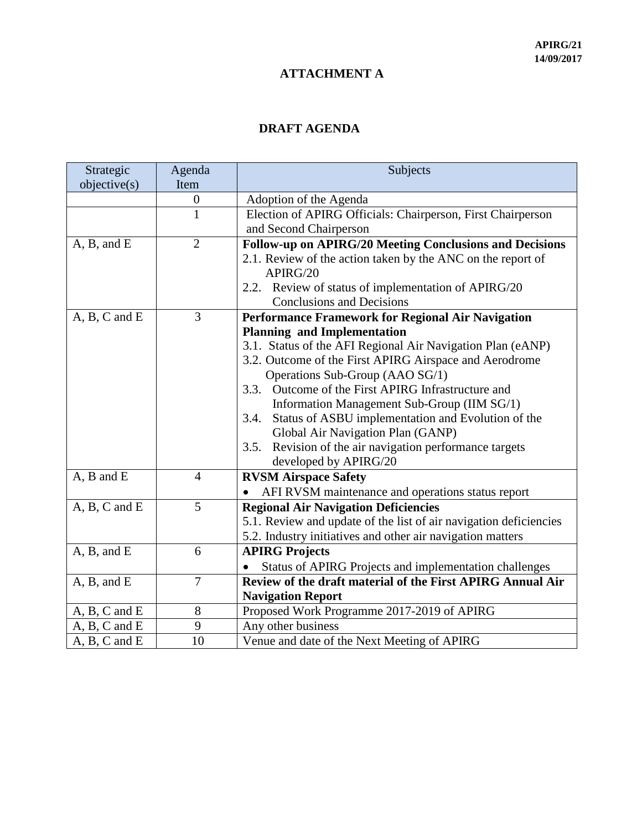## **ATTACHMENT A**

## **DRAFT AGENDA**

| Strategic         | Agenda         | Subjects                                                          |
|-------------------|----------------|-------------------------------------------------------------------|
| objective(s)      | Item           |                                                                   |
|                   | $\overline{0}$ | Adoption of the Agenda                                            |
|                   | $\mathbf{1}$   | Election of APIRG Officials: Chairperson, First Chairperson       |
|                   |                | and Second Chairperson                                            |
| A, B, and E       | $\overline{2}$ | Follow-up on APIRG/20 Meeting Conclusions and Decisions           |
|                   |                | 2.1. Review of the action taken by the ANC on the report of       |
|                   |                | APIRG/20                                                          |
|                   |                | 2.2. Review of status of implementation of APIRG/20               |
|                   |                | <b>Conclusions and Decisions</b>                                  |
| $A, B, C$ and $E$ | $\overline{3}$ | Performance Framework for Regional Air Navigation                 |
|                   |                | <b>Planning and Implementation</b>                                |
|                   |                | 3.1. Status of the AFI Regional Air Navigation Plan (eANP)        |
|                   |                | 3.2. Outcome of the First APIRG Airspace and Aerodrome            |
|                   |                | Operations Sub-Group (AAO SG/1)                                   |
|                   |                | Outcome of the First APIRG Infrastructure and<br>3.3.             |
|                   |                | Information Management Sub-Group (IIM SG/1)                       |
|                   |                | Status of ASBU implementation and Evolution of the<br>3.4.        |
|                   |                | Global Air Navigation Plan (GANP)                                 |
|                   |                | Revision of the air navigation performance targets<br>3.5.        |
|                   |                | developed by APIRG/20                                             |
| $A$ , $B$ and $E$ | $\overline{4}$ | <b>RVSM Airspace Safety</b>                                       |
|                   |                | AFI RVSM maintenance and operations status report                 |
| $A, B, C$ and $E$ | 5              | <b>Regional Air Navigation Deficiencies</b>                       |
|                   |                | 5.1. Review and update of the list of air navigation deficiencies |
|                   |                | 5.2. Industry initiatives and other air navigation matters        |
| A, B, and E       | 6              | <b>APIRG Projects</b>                                             |
|                   |                | Status of APIRG Projects and implementation challenges            |
| A, B, and E       | $\overline{7}$ | Review of the draft material of the First APIRG Annual Air        |
|                   |                | <b>Navigation Report</b>                                          |
| A, B, C and E     | 8              | Proposed Work Programme 2017-2019 of APIRG                        |
| $A, B, C$ and $E$ | 9              | Any other business                                                |
| $A, B, C$ and $E$ | 10             | Venue and date of the Next Meeting of APIRG                       |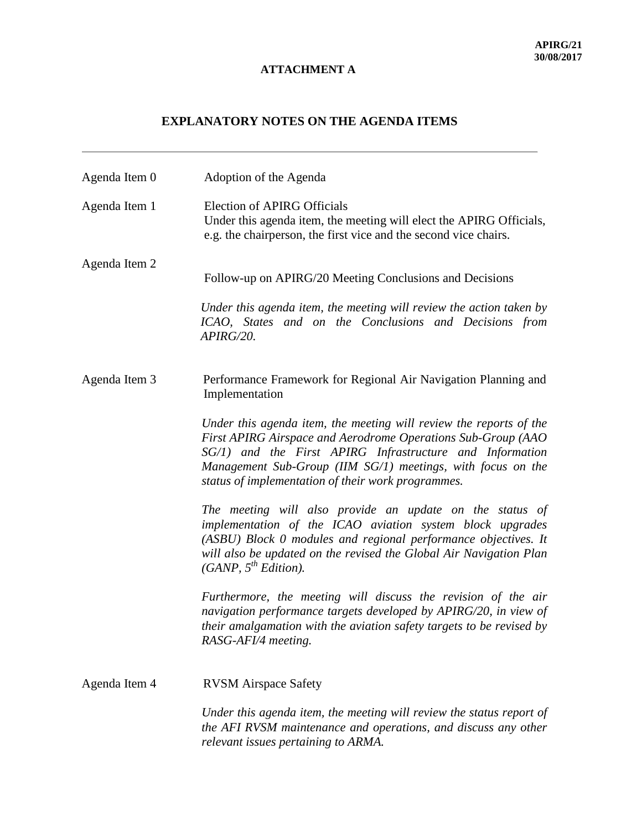## **EXPLANATORY NOTES ON THE AGENDA ITEMS**

| Agenda Item 0 | Adoption of the Agenda                                                                                                                                                                                                                                                                                              |
|---------------|---------------------------------------------------------------------------------------------------------------------------------------------------------------------------------------------------------------------------------------------------------------------------------------------------------------------|
| Agenda Item 1 | <b>Election of APIRG Officials</b><br>Under this agenda item, the meeting will elect the APIRG Officials,<br>e.g. the chairperson, the first vice and the second vice chairs.                                                                                                                                       |
| Agenda Item 2 | Follow-up on APIRG/20 Meeting Conclusions and Decisions                                                                                                                                                                                                                                                             |
|               | Under this agenda item, the meeting will review the action taken by<br>ICAO, States and on the Conclusions and Decisions from<br>APIRG/20.                                                                                                                                                                          |
| Agenda Item 3 | Performance Framework for Regional Air Navigation Planning and<br>Implementation                                                                                                                                                                                                                                    |
|               | Under this agenda item, the meeting will review the reports of the<br>First APIRG Airspace and Aerodrome Operations Sub-Group (AAO<br>SG/1) and the First APIRG Infrastructure and Information<br>Management Sub-Group (IIM SG/1) meetings, with focus on the<br>status of implementation of their work programmes. |
|               | The meeting will also provide an update on the status of<br>implementation of the ICAO aviation system block upgrades<br>(ASBU) Block 0 modules and regional performance objectives. It<br>will also be updated on the revised the Global Air Navigation Plan<br>(GANP, $5^{th}$ Edition).                          |
|               | Furthermore, the meeting will discuss the revision of the air<br>navigation performance targets developed by APIRG/20, in view of<br>their amalgamation with the aviation safety targets to be revised by<br>RASG-AFI/4 meeting.                                                                                    |
| Agenda Item 4 | <b>RVSM</b> Airspace Safety                                                                                                                                                                                                                                                                                         |
|               | Under this agenda item, the meeting will review the status report of<br>the AFI RVSM maintenance and operations, and discuss any other<br>relevant issues pertaining to ARMA.                                                                                                                                       |